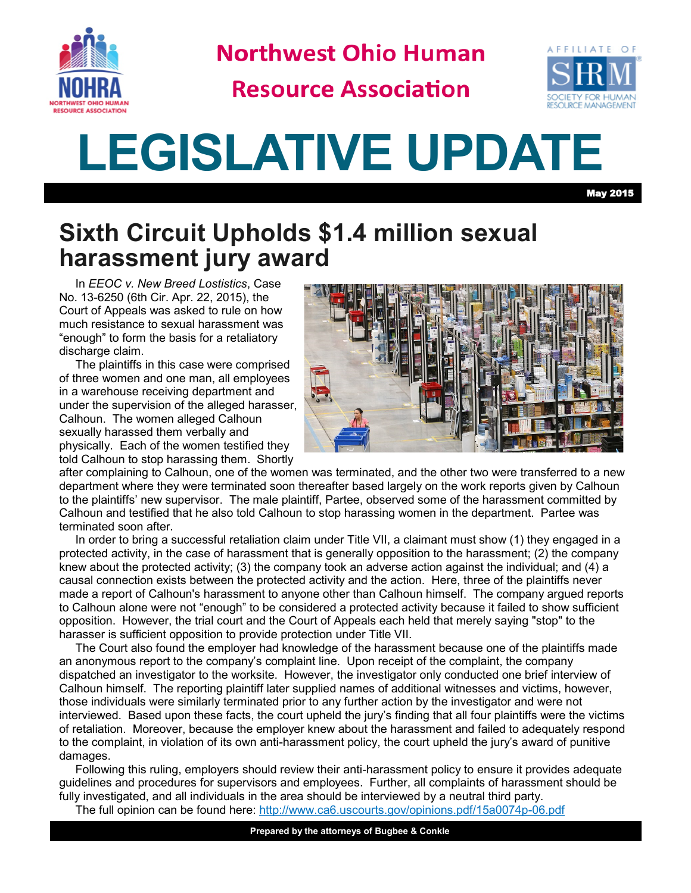

**Northwest Ohio Human** 

**Resource Association** 



## **LEGISLATIVE UPDATE**

May 2015

## **Sixth Circuit Upholds \$1.4 million sexual harassment jury award**

In *EEOC v. New Breed Lostistics*, Case No. 13-6250 (6th Cir. Apr. 22, 2015), the Court of Appeals was asked to rule on how much resistance to sexual harassment was "enough" to form the basis for a retaliatory discharge claim.

The plaintiffs in this case were comprised of three women and one man, all employees in a warehouse receiving department and under the supervision of the alleged harasser, Calhoun. The women alleged Calhoun sexually harassed them verbally and physically. Each of the women testified they told Calhoun to stop harassing them. Shortly



after complaining to Calhoun, one of the women was terminated, and the other two were transferred to a new department where they were terminated soon thereafter based largely on the work reports given by Calhoun to the plaintiffs' new supervisor. The male plaintiff, Partee, observed some of the harassment committed by Calhoun and testified that he also told Calhoun to stop harassing women in the department. Partee was terminated soon after.

In order to bring a successful retaliation claim under Title VII, a claimant must show (1) they engaged in a protected activity, in the case of harassment that is generally opposition to the harassment; (2) the company knew about the protected activity; (3) the company took an adverse action against the individual; and (4) a causal connection exists between the protected activity and the action. Here, three of the plaintiffs never made a report of Calhoun's harassment to anyone other than Calhoun himself. The company argued reports to Calhoun alone were not "enough" to be considered a protected activity because it failed to show sufficient opposition. However, the trial court and the Court of Appeals each held that merely saying "stop" to the harasser is sufficient opposition to provide protection under Title VII.

The Court also found the employer had knowledge of the harassment because one of the plaintiffs made an anonymous report to the company's complaint line. Upon receipt of the complaint, the company dispatched an investigator to the worksite. However, the investigator only conducted one brief interview of Calhoun himself. The reporting plaintiff later supplied names of additional witnesses and victims, however, those individuals were similarly terminated prior to any further action by the investigator and were not interviewed. Based upon these facts, the court upheld the jury's finding that all four plaintiffs were the victims of retaliation. Moreover, because the employer knew about the harassment and failed to adequately respond to the complaint, in violation of its own anti-harassment policy, the court upheld the jury's award of punitive damages.

Following this ruling, employers should review their anti-harassment policy to ensure it provides adequate guidelines and procedures for supervisors and employees. Further, all complaints of harassment should be fully investigated, and all individuals in the area should be interviewed by a neutral third party.

The full opinion can be found here: [http://www.ca6.uscourts.gov/opinions.pdf/15a0074p](http://www.ca6.uscourts.gov/opinions.pdf/15a0074p-06.pdf)-06.pdf